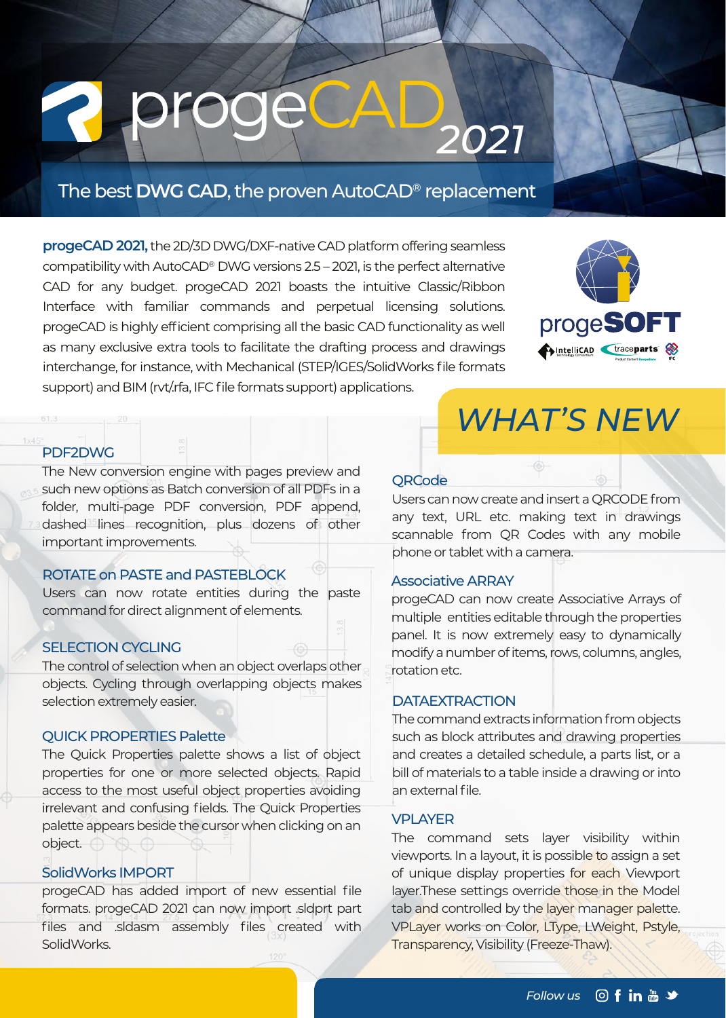# *<sup>2021</sup>* progeCAD

#### The best **DWG CAD**, the proven AutoCAD® replacement

**progeCAD 2021,** the 2D/3D DWG/DXF-native CAD platform offering seamless compatibility with AutoCAD® DWG versions 2.5 – 2021, is the perfect alternative CAD for any budget. progeCAD 2021 boasts the intuitive Classic/Ribbon Interface with familiar commands and perpetual licensing solutions. progeCAD is highly efficient comprising all the basic CAD functionality as well as many exclusive extra tools to facilitate the drafting process and drawings interchange, for instance, with Mechanical (STEP/IGES/SolidWorks file formats support) and BIM (rvt/.rfa, IFC file formats support) applications.



#### PDF2DWG

The New conversion engine with pages preview and such new options as Batch conversion of all PDFs in a folder, multi-page PDF conversion, PDF append, dashed lines recognition, plus dozens of other important improvements.

#### ROTATE on PASTE and PASTEBLOCK

Users can now rotate entities during the paste command for direct alignment of elements.

#### SELECTION CYCLING

The control of selection when an object overlaps other objects. Cycling through overlapping objects makes selection extremely easier.

#### QUICK PROPERTIES Palette

The Quick Properties palette shows a list of object properties for one or more selected objects. Rapid access to the most useful object properties avoiding irrelevant and confusing fields. The Quick Properties palette appears beside the cursor when clicking on an object.

#### SolidWorks IMPORT

progeCAD has added import of new essential file formats. progeCAD 2021 can now import .sldprt part files and .sldasm assembly files created with SolidWorks.

#### **ORCode**

Users can now create and insert a QRCODE from any text, URL etc. making text in drawings scannable from QR Codes with any mobile phone or tablet with a camera.

*WHAT'S NEW*

#### Associative ARRAY

progeCAD can now create Associative Arrays of multiple entities editable through the properties panel. It is now extremely easy to dynamically modify a number of items, rows, columns, angles, rotation etc.

#### **DATAEXTRACTION**

The command extracts information from objects such as block attributes and drawing properties and creates a detailed schedule, a parts list, or a bill of materials to a table inside a drawing or into an external file.

#### VPLAYER

The command sets layer visibility within viewports. In a layout, it is possible to assign a set of unique display properties for each Viewport layer. These settings override those in the Model tab and controlled by the layer manager palette. VPLayer works on Color, LType, LWeight, Pstyle, Transparency, Visibility (Freeze-Thaw).